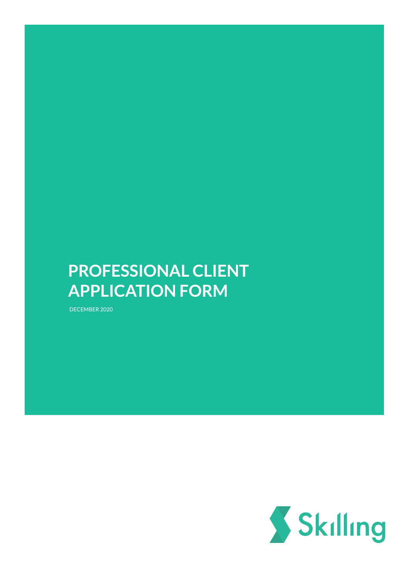# **PROFESSIONAL CLIENT APPLICATION FORM**

DECEMBER 2020

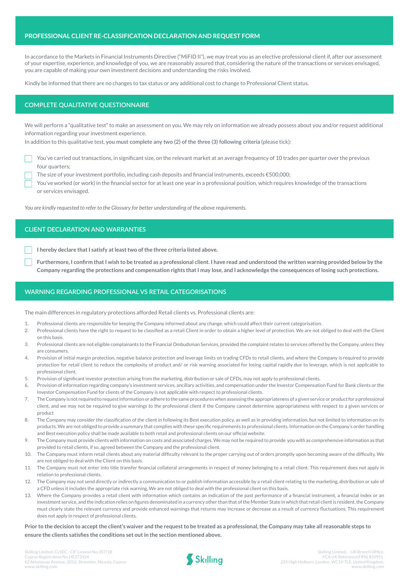### **PROFESSIONAL CLIENT RE-CLASSIFICATION DECLARATION AND REQUEST FORM**

In accordance to the Markets in Financial Instruments Directive ("MiFID II"), we may treat you as an elective professional client if, after our assessment of your expertise, experience, and knowledge of you, we are reasonably assured that, considering the nature of the transactions or services envisaged, you are capable of making your own investment decisions and understanding the risks involved.

Kindly be informed that there are no changes to tax status or any additional cost to change to Professional Client status.

# **COMPLETE QUALITATIVE QUESTIONNAIRE**

We will perform a "qualitative test" to make an assessment on you. We may rely on information we already possess about you and/or request additional information regarding your investment experience.

In addition to this qualitative test, **you must complete any two (2) of the three (3) following criteria** (please tick):

You've carried out transactions, in significant size, on the relevant market at an average frequency of 10 trades per quarter over the previous four quarters;

The size of your investment portfolio, including cash deposits and financial instruments, exceeds €500,000;

You've worked (or work) in the financial sector for at least one year in a professional position, which requires knowledge of the transactions or services envisaged.

*You are kindly requested to refer to the Glossary for better understanding of the above requirements.*

## **CLIENT DECLARATION AND WARRANTIES**

**I hereby declare that I satisfy at least two of the three criteria listed above.**

**Furthermore, I confirm that I wish to be treated as a professional client. I have read and understood the written warning provided below by the Company regarding the protections and compensation rights that I may lose, and I acknowledge the consequences of losing such protections.**

## **WARNING REGARDING PROFESSIONAL VS RETAIL CATEGORISATIONS**

The main differences in regulatory protections afforded Retail clients vs. Professional clients are:

- 1. Professional clients are responsible for keeping the Company informed about any change, which could affect their current categorisation.
- 2. Professional clients have the right to request to be classified as a retail Client in order to obtain a higher level of protection. We are not obliged to deal with the Client on this basis.
- 3. Professional clients are not eligible complainants to the Financial Ombudsman Services, provided the complaint relates to services offered by the Company, unless they are consumers.
- 4. Provision of initial margin protection, negative balance protection and leverage limits on trading CFDs to retail clients, and where the Company is required to provide protection for retail client to reduce the complexity of product and/ or risk warning associated for losing capital rapidly due to leverage, which is not applicable to professional client.
- 5. Provision of significant investor protection arising from the marketing, distribution or sale of CFDs, may not apply to professional clients.
- 6. Provision of information regarding company's investment services, ancillary activities, and compensation under the Investor Compensation Fund for Bank clients or the Investor Compensation Fund for clients of the Company is not applicable with respect to professional clients.
- 7. The Company is not required to request information or adhere to the same procedures when assessing the appropriateness of a given service or product for a professional client, and we may not be required to give warnings to the professional client if the Company cannot determine appropriateness with respect to a given services or product
- 8. The Company may consider the classification of the client in following its Best execution policy, as well as in providing information, but not limited to information on its products. We are not obliged to provide a summary that complies with these specific requirements to professional clients. Information on the Company's order handling and Best execution policy shall be made available to both retail and professional clients on our official website.
- 9. The Company must provide clients with information on costs and associated charges. We may not be required to provide you with as comprehensive information as that provided to retail clients, if so, agreed between the Company and the professional client.
- 10. The Company must inform retail clients about any material difficulty relevant to the proper carrying out of orders promptly upon becoming aware of the difficulty. We are not obliged to deal with the Client on this basis.
- 11. The Company must not enter into title transfer financial collateral arrangements in respect of money belonging to a retail client. This requirement does not apply in relation to professional clients.
- 12. The Company may not send directly or indirectly a communication to or publish information accessible by a retail client relating to the marketing, distribution or sale of a CFD unless it includes the appropriate risk warning, We are not obliged to deal with the professional client on this basis.
- 13. Where the Company provides a retail client with information which contains an indication of the past performance of a financial instrument, a financial index or an investment service, and the indication relies on figures denominated in a currency other than that of the Member State in which that retail client is resident, the Company must clearly state the relevant currency and provide enhanced warnings that returns may increase or decrease as a result of currency fluctuations. This requirement does not apply in respect of professional clients.

**Prior to the decision to accept the client's waiver and the request to be treated as a professional, the Company may take all reasonable steps to ensure the clients satisfies the conditions set out in the section mentioned above.**